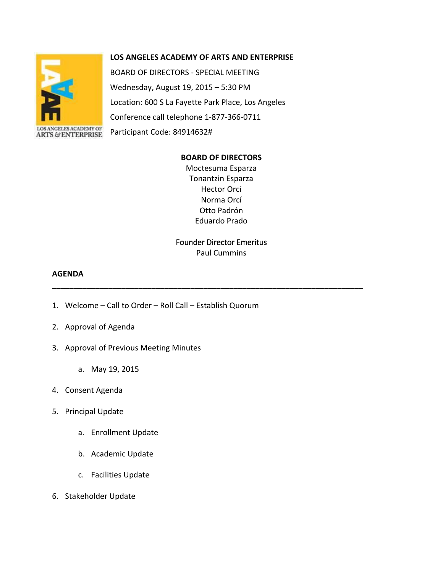# **LOS ANGELES ACADEMY OF ARTS AND ENTERPRISE**



BOARD OF DIRECTORS - SPECIAL MEETING Wednesday, August 19, 2015 – 5:30 PM Location: 600 S La Fayette Park Place, Los Angeles Conference call telephone 1-877-366-0711 Participant Code: 84914632#

#### **BOARD OF DIRECTORS**

Moctesuma Esparza Tonantzin Esparza Hector Orcí Norma Orcí Otto Padrón Eduardo Prado

# Founder Director Emeritus Paul Cummins

**\_\_\_\_\_\_\_\_\_\_\_\_\_\_\_\_\_\_\_\_\_\_\_\_\_\_\_\_\_\_\_\_\_\_\_\_\_\_\_\_\_\_\_\_\_\_\_\_\_\_\_\_\_\_\_\_\_\_\_\_\_\_\_\_\_\_\_\_\_\_\_\_**

# **AGENDA**

- 1. Welcome Call to Order Roll Call Establish Quorum
- 2. Approval of Agenda
- 3. Approval of Previous Meeting Minutes
	- a. May 19, 2015
- 4. Consent Agenda
- 5. Principal Update
	- a. Enrollment Update
	- b. Academic Update
	- c. Facilities Update
- 6. Stakeholder Update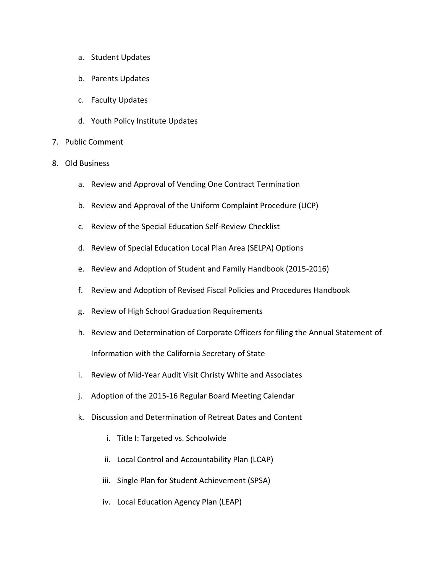- a. Student Updates
- b. Parents Updates
- c. Faculty Updates
- d. Youth Policy Institute Updates
- 7. Public Comment
- 8. Old Business
	- a. Review and Approval of Vending One Contract Termination
	- b. Review and Approval of the Uniform Complaint Procedure (UCP)
	- c. Review of the Special Education Self-Review Checklist
	- d. Review of Special Education Local Plan Area (SELPA) Options
	- e. Review and Adoption of Student and Family Handbook (2015-2016)
	- f. Review and Adoption of Revised Fiscal Policies and Procedures Handbook
	- g. Review of High School Graduation Requirements
	- h. Review and Determination of Corporate Officers for filing the Annual Statement of Information with the California Secretary of State
	- i. Review of Mid-Year Audit Visit Christy White and Associates
	- j. Adoption of the 2015-16 Regular Board Meeting Calendar
	- k. Discussion and Determination of Retreat Dates and Content
		- i. Title I: Targeted vs. Schoolwide
		- ii. Local Control and Accountability Plan (LCAP)
		- iii. Single Plan for Student Achievement (SPSA)
		- iv. Local Education Agency Plan (LEAP)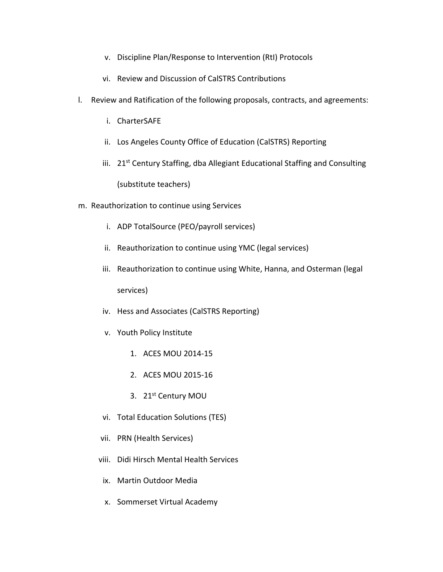- v. Discipline Plan/Response to Intervention (RtI) Protocols
- vi. Review and Discussion of CalSTRS Contributions
- l. Review and Ratification of the following proposals, contracts, and agreements:
	- i. CharterSAFE
	- ii. Los Angeles County Office of Education (CalSTRS) Reporting
	- iii. 21<sup>st</sup> Century Staffing, dba Allegiant Educational Staffing and Consulting (substitute teachers)
- m. Reauthorization to continue using Services
	- i. ADP TotalSource (PEO/payroll services)
	- ii. Reauthorization to continue using YMC (legal services)
	- iii. Reauthorization to continue using White, Hanna, and Osterman (legal services)
	- iv. Hess and Associates (CalSTRS Reporting)
	- v. Youth Policy Institute
		- 1. ACES MOU 2014-15
		- 2. ACES MOU 2015-16
		- 3. 21<sup>st</sup> Century MOU
	- vi. Total Education Solutions (TES)
	- vii. PRN (Health Services)
	- viii. Didi Hirsch Mental Health Services
	- ix. Martin Outdoor Media
	- x. Sommerset Virtual Academy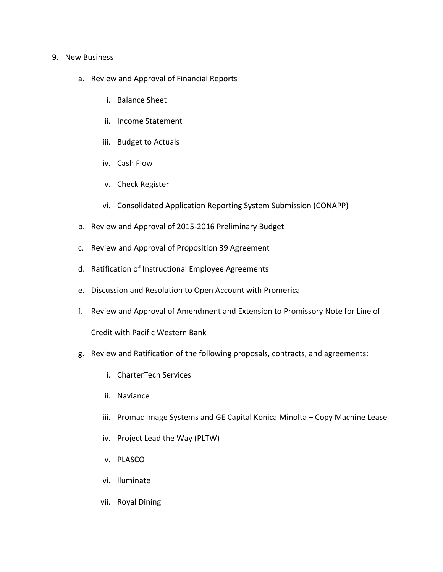### 9. New Business

- a. Review and Approval of Financial Reports
	- i. Balance Sheet
	- ii. Income Statement
	- iii. Budget to Actuals
	- iv. Cash Flow
	- v. Check Register
	- vi. Consolidated Application Reporting System Submission (CONAPP)
- b. Review and Approval of 2015-2016 Preliminary Budget
- c. Review and Approval of Proposition 39 Agreement
- d. Ratification of Instructional Employee Agreements
- e. Discussion and Resolution to Open Account with Promerica
- f. Review and Approval of Amendment and Extension to Promissory Note for Line of

Credit with Pacific Western Bank

- g. Review and Ratification of the following proposals, contracts, and agreements:
	- i. CharterTech Services
	- ii. Naviance
	- iii. Promac Image Systems and GE Capital Konica Minolta Copy Machine Lease
	- iv. Project Lead the Way (PLTW)
	- v. PLASCO
	- vi. lluminate
	- vii. Royal Dining